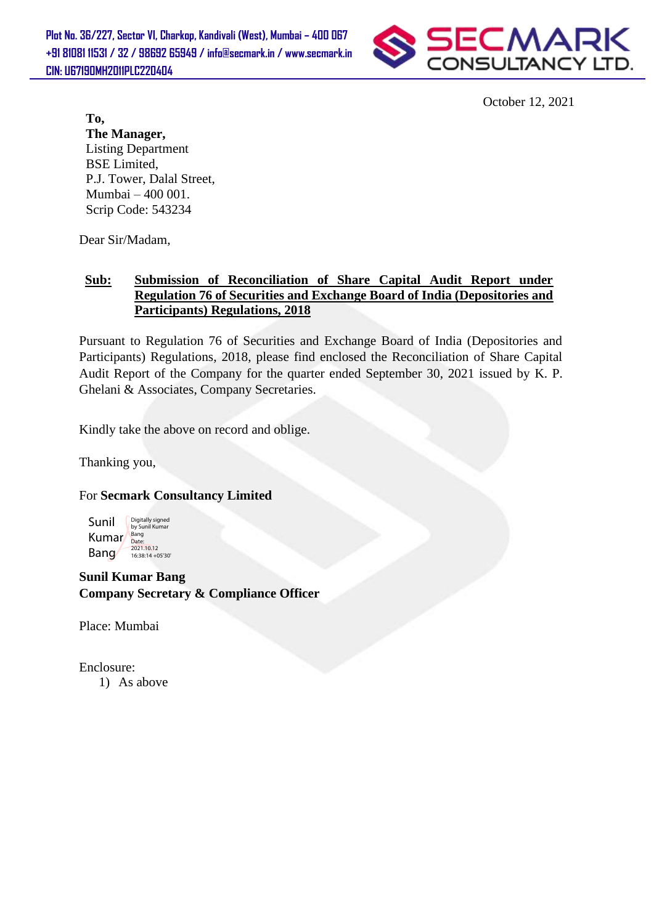**Plot No. 36/227, Sector VI, Charkop, Kandivali (West), Mumbai – 400 067 +91 81081 11531 / 32 / 98692 65949 / info@secmark.in / www.secmark.in CIN: U67190MH2011PLC220404**



October 12, 2021

**To, The Manager,** Listing Department BSE Limited, P.J. Tower, Dalal Street, Mumbai – 400 001. Scrip Code: 543234

Dear Sir/Madam,

#### **Sub: Submission of Reconciliation of Share Capital Audit Report under Regulation 76 of Securities and Exchange Board of India (Depositories and Participants) Regulations, 2018**

Pursuant to Regulation 76 of Securities and Exchange Board of India (Depositories and Participants) Regulations, 2018, please find enclosed the Reconciliation of Share Capital Audit Report of the Company for the quarter ended September 30, 2021 issued by K. P. Ghelani & Associates, Company Secretaries.

Kindly take the above on record and oblige.

Thanking you,

### For **Secmark Consultancy Limited**



**Sunil Kumar Bang Company Secretary & Compliance Officer**

Place: Mumbai

Enclosure:

1) As above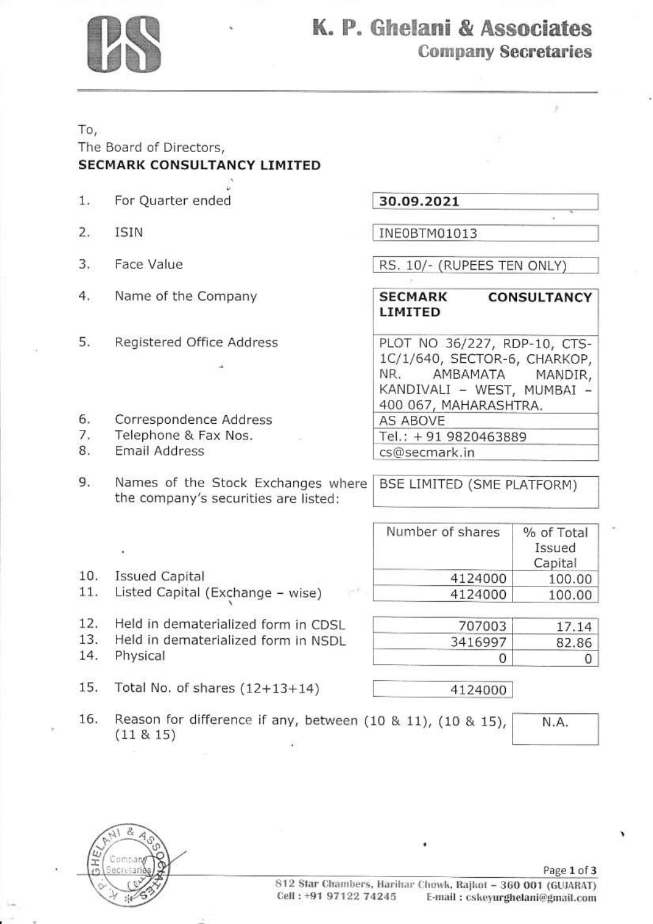

# K. P. Ghelani & Associates **Company Secretaries**

## To, The Board of Directors, **SECMARK CONSULTANCY LIMITED**

- For Quarter ended  $\mathbf{1}$ .
- $2.$ **ISIN**
- 3. Face Value
- 4. Name of the Company
- 5. Registered Office Address

30.09.2021

INE0BTM01013

RS. 10/- (RUPEES TEN ONLY)

#### **SECMARK CONSULTANCY LIMITED**

PLOT NO 36/227, RDP-10, CTS-1C/1/640, SECTOR-6, CHARKOP, NR. AMBAMATA MANDIR, KANDIVALI - WEST, MUMBAI -400 067, MAHARASHTRA. AS ABOVE Tel.: +91 9820463889 cs@secmark.in

- 6. Correspondence Address
- Telephone & Fax Nos. 7.
- 8. **Email Address**

9. Names of the Stock Exchanges where the company's securities are listed:

| Number of shares | % of Total |
|------------------|------------|

BSE LIMITED (SME PLATFORM)

10. **Issued Capital** 

 $(11 \& 15)$ 

- $11.$ Listed Capital (Exchange - wise)
- $12.$ Held in dematerialized form in CDSL
- 13. Held in dematerialized form in NSDL
- 14. Physical
- 15. Total No. of shares  $(12+13+14)$

Reason for difference if any, between (10 & 11), (10 & 15),

|         | Issued<br>Capital |
|---------|-------------------|
| 4124000 | 100.00            |
| 4124000 | 100.00            |

| 707003                               | 17 14 |
|--------------------------------------|-------|
| 3416997                              | 82.86 |
| and the first product of the control |       |

4124000

N.A.

16.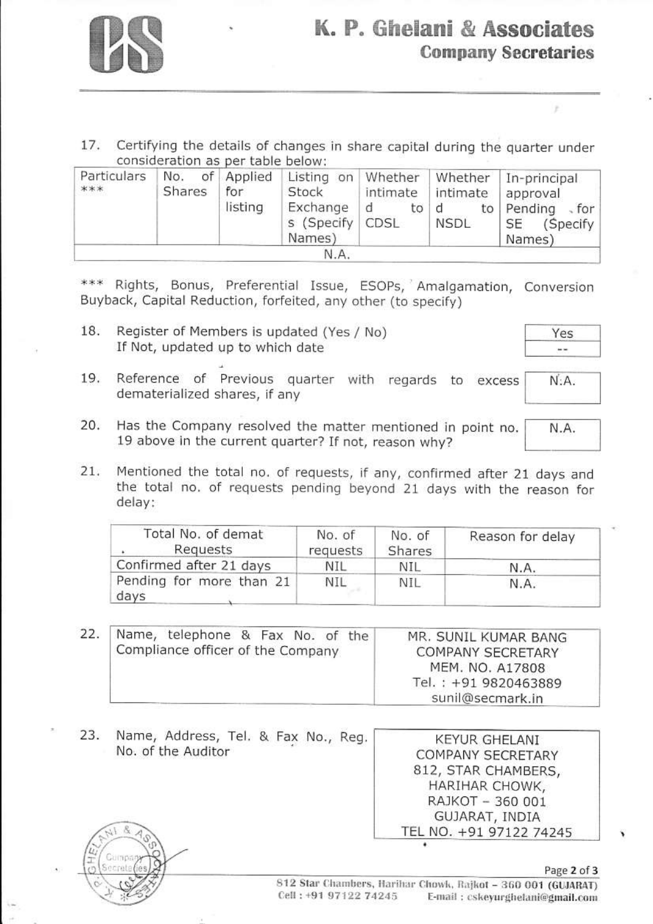

17. Certifying the details of changes in share capital during the quarter under consideration as per table below:

| Particulars<br>*** | No.<br>Shares | of Applied<br>for<br>listing | Listing on<br>Stock<br>Exchange<br>s (Specify<br>Names) | Whether<br>intimate<br>đ<br>to<br>CDSL | Whether<br>intimate<br>a<br>to<br><b>NSDL</b> | In-principal<br>approval<br>Pending<br>$\sqrt{2}$ for<br>(Specify)<br>SE<br>Names) |
|--------------------|---------------|------------------------------|---------------------------------------------------------|----------------------------------------|-----------------------------------------------|------------------------------------------------------------------------------------|
|                    |               |                              | N.A.                                                    |                                        |                                               |                                                                                    |

\*\*\* Rights, Bonus, Preferential Issue, ESOPs, Amalgamation, Conversion Buyback, Capital Reduction, forfeited, any other (to specify)

18. Register of Members is updated (Yes / No) If Not, updated up to which date

 $N: A$ .

N.A.

×

- Reference of Previous quarter with regards to excess 19. dematerialized shares, if any
- 20. Has the Company resolved the matter mentioned in point no. 19 above in the current quarter? If not, reason why?
- Mentioned the total no. of requests, if any, confirmed after 21 days and  $21.$ the total no. of requests pending beyond 21 days with the reason for delay:

| Total No. of demat<br>Requests   | No. of<br>requests | No. of<br>Shares | Reason for delay |
|----------------------------------|--------------------|------------------|------------------|
| Confirmed after 21 days          | NIL                | nil              | N.A.             |
| Pending for more than 21<br>days | NIL                | Nil              | N.A.             |

| 22. | Name, telephone & Fax No. of the<br>Compliance officer of the Company | MR. SUNIL KUMAR BANG<br><b>COMPANY SECRETARY</b><br>MEM. NO. A17808<br>Tel.: +91 9820463889 |
|-----|-----------------------------------------------------------------------|---------------------------------------------------------------------------------------------|
|     |                                                                       | sunil@secmark.in                                                                            |

Name, Address, Tel. & Fax No., Reg. 23. **KEYUR GHELANI** No. of the Auditor COMPANY SECRETARY 812, STAR CHAMBERS, HARIHAR CHOWK, RAJKOT - 360 001 GUJARAT, INDIA TEL NO. +91 97122 74245